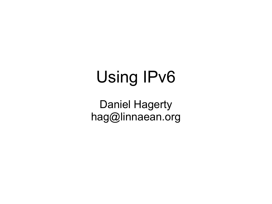# Using IPv6

Daniel Hagerty hag@linnaean.org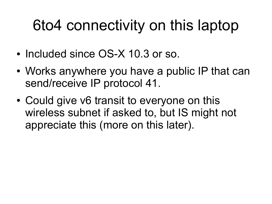#### 6to4 connectivity on this laptop

- Included since OS-X 10.3 or so.
- Works anywhere you have a public IP that can send/receive IP protocol 41.
- Could give v6 transit to everyone on this wireless subnet if asked to, but IS might not appreciate this (more on this later).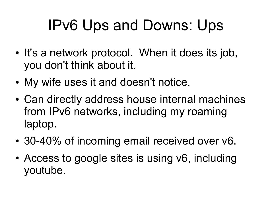# IPv6 Ups and Downs: Ups

- It's a network protocol. When it does its job, you don't think about it.
- My wife uses it and doesn't notice.
- Can directly address house internal machines from IPv6 networks, including my roaming laptop.
- 30-40% of incoming email received over v6.
- Access to google sites is using v6, including youtube.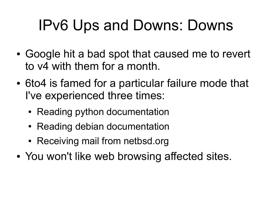# IPv6 Ups and Downs: Downs

- Google hit a bad spot that caused me to revert to v4 with them for a month.
- 6to4 is famed for a particular failure mode that I've experienced three times:
	- Reading python documentation
	- Reading debian documentation
	- Receiving mail from netbsd.org
- You won't like web browsing affected sites.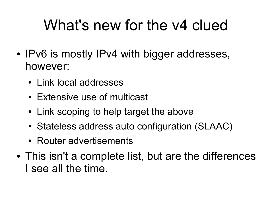## What's new for the v4 clued

- IPv6 is mostly IPv4 with bigger addresses, however:
	- Link local addresses
	- Extensive use of multicast
	- Link scoping to help target the above
	- Stateless address auto configuration (SLAAC)
	- Router advertisements
- This isn't a complete list, but are the differences I see all the time.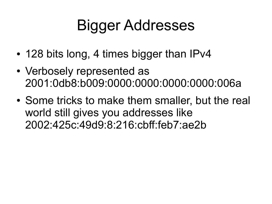# Bigger Addresses

- 128 bits long, 4 times bigger than IPv4
- Verbosely represented as 2001:0db8:b009:0000:0000:0000:0000:006a
- Some tricks to make them smaller, but the real world still gives you addresses like 2002:425c:49d9:8:216:cbff:feb7:ae2b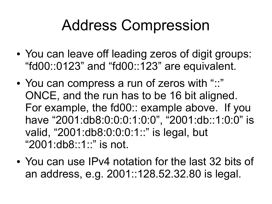#### Address Compression

- You can leave off leading zeros of digit groups: "fd00::0123" and "fd00::123" are equivalent.
- You can compress a run of zeros with "::" ONCE, and the run has to be 16 bit aligned. For example, the fd00:: example above. If you have "2001:db8:0:0:0:1:0:0", "2001:db::1:0:0" is valid, "2001:db8:0:0:0:1::" is legal, but "2001:db8::1::" is not.
- You can use IPv4 notation for the last 32 bits of an address, e.g. 2001::128.52.32.80 is legal.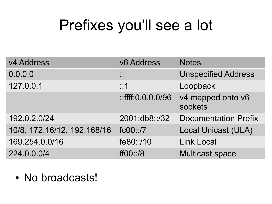## Prefixes you'll see a lot

| v4 Address                  | v6 Address                     | <b>Notes</b>                 |
|-----------------------------|--------------------------------|------------------------------|
| 0.0.0.0                     | $\mathbf{r}$<br>$\blacksquare$ | <b>Unspecified Address</b>   |
| 127.0.0.1                   | ::1                            | Loopback                     |
|                             | $::$ ffff: $0.0.0.0$ /96       | v4 mapped onto v6<br>sockets |
| 192.0.2.0/24                | 2001:db8::/32                  | <b>Documentation Prefix</b>  |
| 10/8, 172.16/12, 192.168/16 | fc00::/7                       | <b>Local Unicast (ULA)</b>   |
| 169.254.0.0/16              | fe80::/10                      | <b>Link Local</b>            |
| 224.0.0.0/4                 | ff00::/8                       | <b>Multicast space</b>       |

• No broadcasts!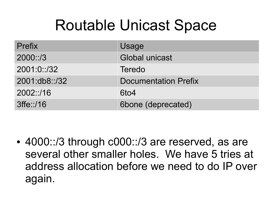#### Routable Unicast Space

| Prefix        | Usage                       |
|---------------|-----------------------------|
| 2000::/3      | <b>Global unicast</b>       |
| 2001:0::/32   | <b>Teredo</b>               |
| 2001:db8::/32 | <b>Documentation Prefix</b> |
| 2002::/16     | 6to4                        |
| $3$ ffe::/16  | 6bone (deprecated)          |

• 4000::/3 through c000::/3 are reserved, as are several other smaller holes. We have 5 tries at address allocation before we need to do IP over again.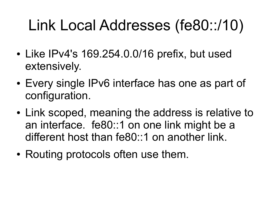# Link Local Addresses (fe80::/10)

- Like IPv4's 169.254.0.0/16 prefix, but used extensively.
- Every single IPv6 interface has one as part of configuration.
- Link scoped, meaning the address is relative to an interface. fe80::1 on one link might be a different host than fe80::1 on another link.
- Routing protocols often use them.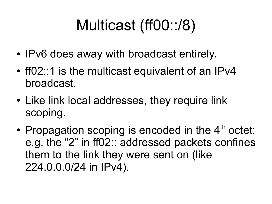# Multicast (ff00::/8)

- IPv6 does away with broadcast entirely.
- ff02::1 is the multicast equivalent of an IPv4 broadcast.
- Like link local addresses, they require link scoping.
- Propagation scoping is encoded in the  $4<sup>th</sup>$  octet: e.g. the "2" in ff02:: addressed packets confines them to the link they were sent on (like 224.0.0.0/24 in IPv4).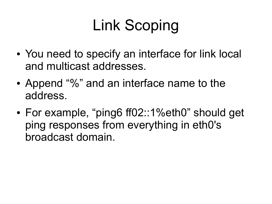# Link Scoping

- You need to specify an interface for link local and multicast addresses.
- Append "%" and an interface name to the address.
- For example, "ping6 ff02::1%eth0" should get ping responses from everything in eth0's broadcast domain.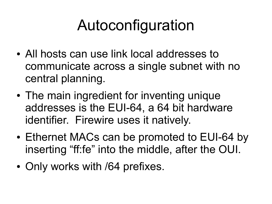# Autoconfiguration

- All hosts can use link local addresses to communicate across a single subnet with no central planning.
- The main ingredient for inventing unique addresses is the EUI-64, a 64 bit hardware identifier. Firewire uses it natively.
- Ethernet MACs can be promoted to EUI-64 by inserting "ff:fe" into the middle, after the OUI.
- Only works with /64 prefixes.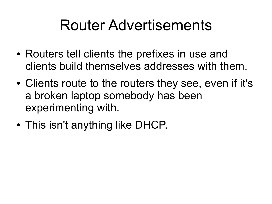#### Router Advertisements

- Routers tell clients the prefixes in use and clients build themselves addresses with them.
- Clients route to the routers they see, even if it's a broken laptop somebody has been experimenting with.
- This isn't anything like DHCP.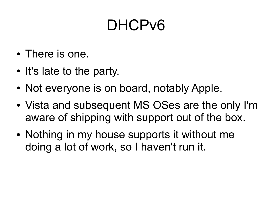## DHCP<sub>v6</sub>

- There is one.
- It's late to the party.
- Not everyone is on board, notably Apple.
- Vista and subsequent MS OSes are the only I'm aware of shipping with support out of the box.
- Nothing in my house supports it without me doing a lot of work, so I haven't run it.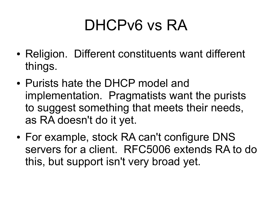### DHCPv6 vs RA

- Religion. Different constituents want different things.
- Purists hate the DHCP model and implementation. Pragmatists want the purists to suggest something that meets their needs, as RA doesn't do it yet.
- For example, stock RA can't configure DNS servers for a client. RFC5006 extends RA to do this, but support isn't very broad yet.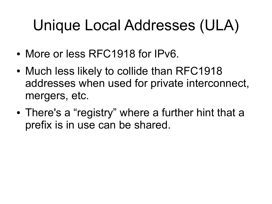# Unique Local Addresses (ULA)

- More or less RFC1918 for IPv6.
- Much less likely to collide than RFC1918 addresses when used for private interconnect, mergers, etc.
- There's a "registry" where a further hint that a prefix is in use can be shared.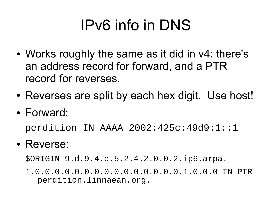# IPv6 info in DNS

- Works roughly the same as it did in v4: there's an address record for forward, and a PTR record for reverses.
- Reverses are split by each hex digit. Use host!
- Forward:

perdition IN AAAA 2002:425c:49d9:1::1

• Reverse:

\$ORIGIN 9.d.9.4.c.5.2.4.2.0.0.2.ip6.arpa.

1.0.0.0.0.0.0.0.0.0.0.0.0.0.0.0.1.0.0.0 IN PTR perdition.linnaean.org.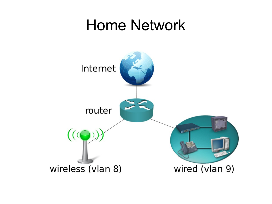#### Home Network

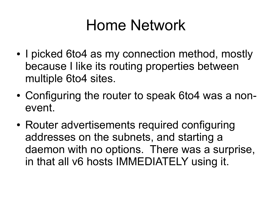#### Home Network

- I picked 6to4 as my connection method, mostly because I like its routing properties between multiple 6to4 sites.
- Configuring the router to speak 6to4 was a nonevent.
- Router advertisements required configuring addresses on the subnets, and starting a daemon with no options. There was a surprise, in that all v6 hosts IMMEDIATELY using it.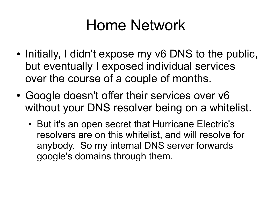#### Home Network

- Initially, I didn't expose my v6 DNS to the public, but eventually I exposed individual services over the course of a couple of months.
- Google doesn't offer their services over v6 without your DNS resolver being on a whitelist.
	- But it's an open secret that Hurricane Electric's resolvers are on this whitelist, and will resolve for anybody. So my internal DNS server forwards google's domains through them.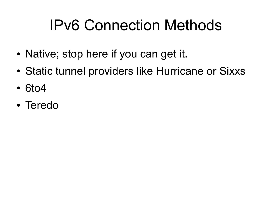# IPv6 Connection Methods

- Native; stop here if you can get it.
- Static tunnel providers like Hurricane or Sixxs
- 6to4
- Teredo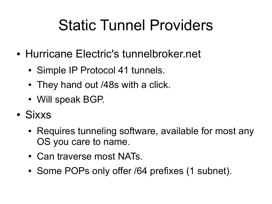## Static Tunnel Providers

- Hurricane Electric's tunnelbroker.net
	- Simple IP Protocol 41 tunnels.
	- They hand out /48s with a click.
	- Will speak BGP.
- Sixxs
	- Requires tunneling software, available for most any OS you care to name.
	- Can traverse most NATs.
	- Some POPs only offer /64 prefixes (1 subnet).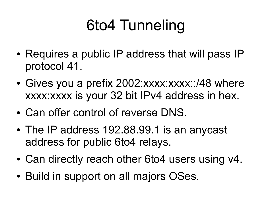# 6to4 Tunneling

- Requires a public IP address that will pass IP protocol 41.
- Gives you a prefix 2002:xxxx:xxxx::/48 where xxxx:xxxx is your 32 bit IPv4 address in hex.
- Can offer control of reverse DNS.
- The IP address 192.88.99.1 is an anycast address for public 6to4 relays.
- Can directly reach other 6to4 users using v4.
- Build in support on all majors OSes.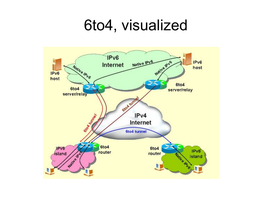#### 6to4, visualized